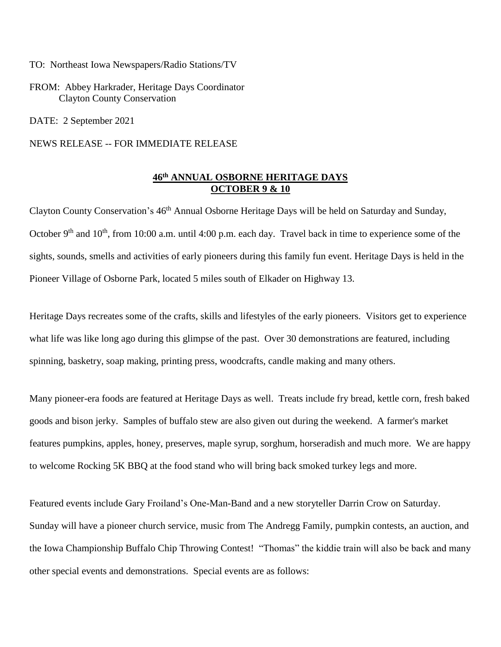TO: Northeast Iowa Newspapers/Radio Stations/TV

FROM: Abbey Harkrader, Heritage Days Coordinator Clayton County Conservation

DATE: 2 September 2021

NEWS RELEASE -- FOR IMMEDIATE RELEASE

## **46 th ANNUAL OSBORNE HERITAGE DAYS OCTOBER 9 & 10**

Clayton County Conservation's 46<sup>th</sup> Annual Osborne Heritage Days will be held on Saturday and Sunday, October 9<sup>th</sup> and 10<sup>th</sup>, from 10:00 a.m. until 4:00 p.m. each day. Travel back in time to experience some of the sights, sounds, smells and activities of early pioneers during this family fun event. Heritage Days is held in the Pioneer Village of Osborne Park, located 5 miles south of Elkader on Highway 13.

Heritage Days recreates some of the crafts, skills and lifestyles of the early pioneers. Visitors get to experience what life was like long ago during this glimpse of the past. Over 30 demonstrations are featured, including spinning, basketry, soap making, printing press, woodcrafts, candle making and many others.

Many pioneer-era foods are featured at Heritage Days as well. Treats include fry bread, kettle corn, fresh baked goods and bison jerky. Samples of buffalo stew are also given out during the weekend. A farmer's market features pumpkins, apples, honey, preserves, maple syrup, sorghum, horseradish and much more. We are happy to welcome Rocking 5K BBQ at the food stand who will bring back smoked turkey legs and more.

Featured events include Gary Froiland's One-Man-Band and a new storyteller Darrin Crow on Saturday. Sunday will have a pioneer church service, music from The Andregg Family, pumpkin contests, an auction, and the Iowa Championship Buffalo Chip Throwing Contest! "Thomas" the kiddie train will also be back and many other special events and demonstrations. Special events are as follows: